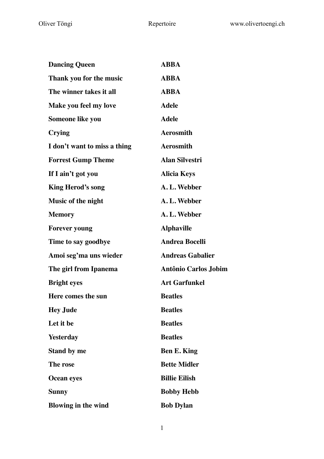| <b>Dancing Queen</b>         | <b>ABBA</b>                 |
|------------------------------|-----------------------------|
| Thank you for the music      | <b>ABBA</b>                 |
| The winner takes it all      | <b>ABBA</b>                 |
| Make you feel my love        | <b>Adele</b>                |
| Someone like you             | <b>Adele</b>                |
| <b>Crying</b>                | <b>Aerosmith</b>            |
| I don't want to miss a thing | <b>Aerosmith</b>            |
| <b>Forrest Gump Theme</b>    | <b>Alan Silvestri</b>       |
| If I ain't got you           | <b>Alicia Keys</b>          |
| <b>King Herod's song</b>     | A.L. Webber                 |
| Music of the night           | A. L. Webber                |
| <b>Memory</b>                | A. L. Webber                |
| <b>Forever young</b>         | <b>Alphaville</b>           |
| Time to say goodbye          | <b>Andrea Bocelli</b>       |
| Amoi seg'ma uns wieder       | <b>Andreas Gabalier</b>     |
| The girl from Ipanema        | <b>Antônio Carlos Jobim</b> |
| <b>Bright eyes</b>           | <b>Art Garfunkel</b>        |
| Here comes the sun           | <b>Beatles</b>              |
| <b>Hey Jude</b>              | <b>Beatles</b>              |
| Let it be                    | <b>Beatles</b>              |
| <b>Yesterday</b>             | <b>Beatles</b>              |
| <b>Stand by me</b>           | <b>Ben E. King</b>          |
| The rose                     | <b>Bette Midler</b>         |
| <b>Ocean eyes</b>            | <b>Billie Eilish</b>        |
| <b>Sunny</b>                 | <b>Bobby Hebb</b>           |
| <b>Blowing in the wind</b>   | <b>Bob Dylan</b>            |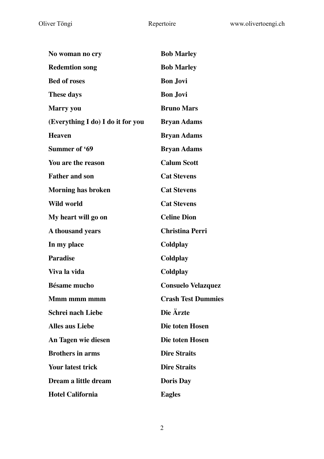| No woman no cry                   | <b>Bob Marley</b>         |
|-----------------------------------|---------------------------|
| <b>Redemtion song</b>             | <b>Bob Marley</b>         |
| <b>Bed of roses</b>               | <b>Bon Jovi</b>           |
| <b>These days</b>                 | <b>Bon Jovi</b>           |
| <b>Marry</b> you                  | <b>Bruno Mars</b>         |
| (Everything I do) I do it for you | <b>Bryan Adams</b>        |
| <b>Heaven</b>                     | <b>Bryan Adams</b>        |
| Summer of '69                     | <b>Bryan Adams</b>        |
| You are the reason                | <b>Calum Scott</b>        |
| <b>Father and son</b>             | <b>Cat Stevens</b>        |
| <b>Morning has broken</b>         | <b>Cat Stevens</b>        |
| <b>Wild world</b>                 | <b>Cat Stevens</b>        |
| My heart will go on               | <b>Celine Dion</b>        |
| A thousand years                  | <b>Christina Perri</b>    |
| In my place                       | Coldplay                  |
| <b>Paradise</b>                   | Coldplay                  |
| Viva la vida                      | Coldplay                  |
| <b>Bésame mucho</b>               | <b>Consuelo Velazquez</b> |
| Mmm mmm mmm                       | <b>Crash Test Dummies</b> |
| <b>Schrei nach Liebe</b>          | Die Ärzte                 |
| <b>Alles aus Liebe</b>            | Die toten Hosen           |
| An Tagen wie diesen               | Die toten Hosen           |
| <b>Brothers in arms</b>           | <b>Dire Straits</b>       |
| <b>Your latest trick</b>          | <b>Dire Straits</b>       |
| Dream a little dream              | <b>Doris Day</b>          |
| <b>Hotel California</b>           | <b>Eagles</b>             |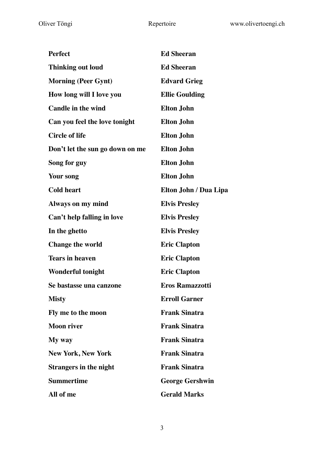| <b>Perfect</b>                  | <b>Ed Sheeran</b>      |
|---------------------------------|------------------------|
| <b>Thinking out loud</b>        | <b>Ed Sheeran</b>      |
| <b>Morning (Peer Gynt)</b>      | <b>Edvard Grieg</b>    |
| How long will I love you        | <b>Ellie Goulding</b>  |
| <b>Candle in the wind</b>       | <b>Elton John</b>      |
| Can you feel the love tonight   | <b>Elton John</b>      |
| <b>Circle of life</b>           | <b>Elton John</b>      |
| Don't let the sun go down on me | <b>Elton John</b>      |
| Song for guy                    | <b>Elton John</b>      |
| Your song                       | <b>Elton John</b>      |
| <b>Cold heart</b>               | Elton John / Dua Lipa  |
| <b>Always on my mind</b>        | <b>Elvis Presley</b>   |
| Can't help falling in love      | <b>Elvis Presley</b>   |
| In the ghetto                   | <b>Elvis Presley</b>   |
| <b>Change the world</b>         | <b>Eric Clapton</b>    |
| <b>Tears in heaven</b>          | <b>Eric Clapton</b>    |
| <b>Wonderful tonight</b>        | <b>Eric Clapton</b>    |
| Se bastasse una canzone         | <b>Eros Ramazzotti</b> |
| <b>Misty</b>                    | <b>Erroll Garner</b>   |
| Fly me to the moon              | <b>Frank Sinatra</b>   |
| <b>Moon river</b>               | <b>Frank Sinatra</b>   |
| My way                          | <b>Frank Sinatra</b>   |
| <b>New York, New York</b>       | <b>Frank Sinatra</b>   |
| <b>Strangers in the night</b>   | <b>Frank Sinatra</b>   |
| <b>Summertime</b>               | <b>George Gershwin</b> |
| All of me                       | <b>Gerald Marks</b>    |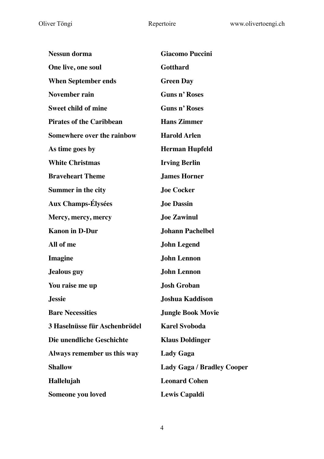| <b>Nessun dorma</b>             | <b>Giacomo Puccini</b>            |
|---------------------------------|-----------------------------------|
| One live, one soul              | <b>Gotthard</b>                   |
| <b>When September ends</b>      | <b>Green Day</b>                  |
| <b>November rain</b>            | <b>Guns n' Roses</b>              |
| <b>Sweet child of mine</b>      | <b>Guns n' Roses</b>              |
| <b>Pirates of the Caribbean</b> | <b>Hans Zimmer</b>                |
| Somewhere over the rainbow      | <b>Harold Arlen</b>               |
| As time goes by                 | <b>Herman Hupfeld</b>             |
| <b>White Christmas</b>          | <b>Irving Berlin</b>              |
| <b>Braveheart Theme</b>         | <b>James Horner</b>               |
| <b>Summer in the city</b>       | <b>Joe Cocker</b>                 |
| <b>Aux Champs-Élysées</b>       | <b>Joe Dassin</b>                 |
| Mercy, mercy, mercy             | <b>Joe Zawinul</b>                |
| <b>Kanon in D-Dur</b>           | <b>Johann Pachelbel</b>           |
| All of me                       | <b>John Legend</b>                |
| <b>Imagine</b>                  | <b>John Lennon</b>                |
| <b>Jealous</b> guy              | <b>John Lennon</b>                |
| You raise me up                 | <b>Josh Groban</b>                |
| <b>Jessie</b>                   | Joshua Kaddison                   |
| <b>Bare Necessities</b>         | <b>Jungle Book Movie</b>          |
| 3 Haselnüsse für Aschenbrödel   | <b>Karel Svoboda</b>              |
| Die unendliche Geschichte       | <b>Klaus Doldinger</b>            |
| Always remember us this way     | <b>Lady Gaga</b>                  |
| <b>Shallow</b>                  | <b>Lady Gaga / Bradley Cooper</b> |
| Hallelujah                      | <b>Leonard Cohen</b>              |
| Someone you loved               | <b>Lewis Capaldi</b>              |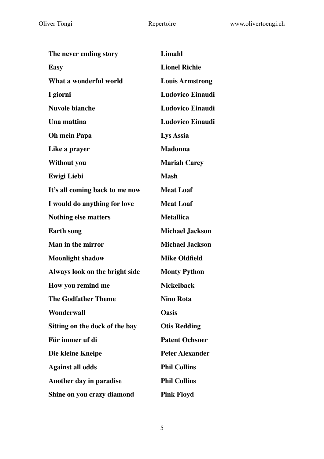| The never ending story         | <b>Limahl</b>           |
|--------------------------------|-------------------------|
| <b>Easy</b>                    | <b>Lionel Richie</b>    |
| What a wonderful world         | <b>Louis Armstrong</b>  |
| I giorni                       | <b>Ludovico Einaudi</b> |
| <b>Nuvole bianche</b>          | <b>Ludovico Einaudi</b> |
| Una mattina                    | <b>Ludovico Einaudi</b> |
| <b>Oh mein Papa</b>            | Lys Assia               |
| Like a prayer                  | <b>Madonna</b>          |
| Without you                    | <b>Mariah Carey</b>     |
| <b>Ewigi Liebi</b>             | <b>Mash</b>             |
| It's all coming back to me now | <b>Meat Loaf</b>        |
| I would do anything for love   | <b>Meat Loaf</b>        |
| <b>Nothing else matters</b>    | <b>Metallica</b>        |
| <b>Earth song</b>              | <b>Michael Jackson</b>  |
| <b>Man in the mirror</b>       | <b>Michael Jackson</b>  |
| <b>Moonlight shadow</b>        | <b>Mike Oldfield</b>    |
| Always look on the bright side | <b>Monty Python</b>     |
| How you remind me              | <b>Nickelback</b>       |
| <b>The Godfather Theme</b>     | <b>Nino Rota</b>        |
| Wonderwall                     | <b>Oasis</b>            |
| Sitting on the dock of the bay | <b>Otis Redding</b>     |
| Für immer uf di                | <b>Patent Ochsner</b>   |
| Die kleine Kneipe              | <b>Peter Alexander</b>  |
| <b>Against all odds</b>        | <b>Phil Collins</b>     |
| Another day in paradise        | <b>Phil Collins</b>     |
| Shine on you crazy diamond     | <b>Pink Floyd</b>       |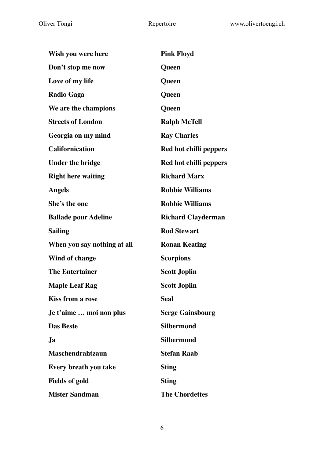| Wish you were here          | <b>Pink Floyd</b>             |
|-----------------------------|-------------------------------|
| Don't stop me now           | Queen                         |
| Love of my life             | Queen                         |
| <b>Radio Gaga</b>           | Queen                         |
| We are the champions        | Queen                         |
| <b>Streets of London</b>    | <b>Ralph McTell</b>           |
| Georgia on my mind          | <b>Ray Charles</b>            |
| <b>Californication</b>      | <b>Red hot chilli peppers</b> |
| <b>Under the bridge</b>     | Red hot chilli peppers        |
| <b>Right here waiting</b>   | <b>Richard Marx</b>           |
| <b>Angels</b>               | <b>Robbie Williams</b>        |
| She's the one               | <b>Robbie Williams</b>        |
| <b>Ballade pour Adeline</b> | <b>Richard Clayderman</b>     |
| <b>Sailing</b>              | <b>Rod Stewart</b>            |
| When you say nothing at all | <b>Ronan Keating</b>          |
| Wind of change              | <b>Scorpions</b>              |
| <b>The Entertainer</b>      | <b>Scott Joplin</b>           |
| <b>Maple Leaf Rag</b>       | <b>Scott Joplin</b>           |
| <b>Kiss from a rose</b>     | <b>Seal</b>                   |
| Je t'aime  moi non plus     | <b>Serge Gainsbourg</b>       |
| <b>Das Beste</b>            | <b>Silbermond</b>             |
| Ja                          | <b>Silbermond</b>             |
| <b>Maschendrahtzaun</b>     | <b>Stefan Raab</b>            |
| Every breath you take       | <b>Sting</b>                  |
| <b>Fields of gold</b>       | <b>Sting</b>                  |
| <b>Mister Sandman</b>       | <b>The Chordettes</b>         |